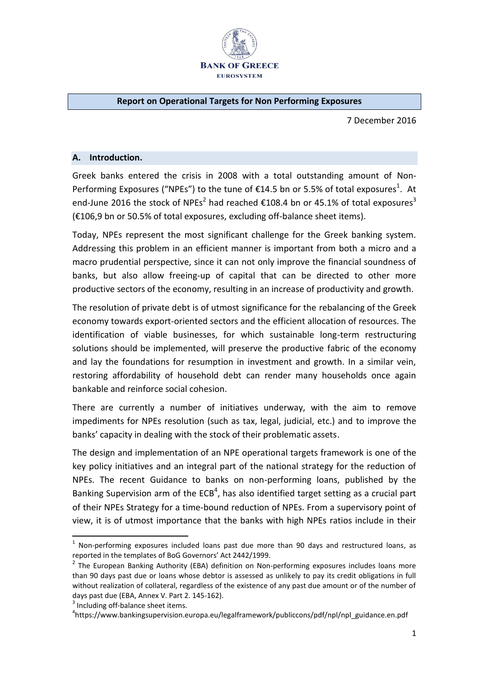

#### **Report on Operational Targets for Non Performing Exposures**

7 December 2016

#### **A. Introduction.**

Greek banks entered the crisis in 2008 with a total outstanding amount of Non-Performing Exposures ("NPEs") to the tune of  $E14.5$  bn or 5.5% of total exposures<sup>1</sup>. At end-June 2016 the stock of NPEs<sup>2</sup> had reached  $\epsilon$ 108.4 bn or 45.1% of total exposures<sup>3</sup> (€106,9 bn or 50.5% of total exposures, excluding off-balance sheet items).

Today, NPEs represent the most significant challenge for the Greek banking system. Addressing this problem in an efficient manner is important from both a micro and a macro prudential perspective, since it can not only improve the financial soundness of banks, but also allow freeing-up of capital that can be directed to other more productive sectors of the economy, resulting in an increase of productivity and growth.

The resolution of private debt is of utmost significance for the rebalancing of the Greek economy towards export-oriented sectors and the efficient allocation of resources. The identification of viable businesses, for which sustainable long-term restructuring solutions should be implemented, will preserve the productive fabric of the economy and lay the foundations for resumption in investment and growth. In a similar vein, restoring affordability of household debt can render many households once again bankable and reinforce social cohesion.

There are currently a number of initiatives underway, with the aim to remove impediments for NPEs resolution (such as tax, legal, judicial, etc.) and to improve the banks' capacity in dealing with the stock of their problematic assets.

The design and implementation of an NPE operational targets framework is one of the key policy initiatives and an integral part of the national strategy for the reduction of NPEs. The recent Guidance to banks on non-performing loans, published by the Banking Supervision arm of the  $ECB<sup>4</sup>$ , has also identified target setting as a crucial part of their NPEs Strategy for a time-bound reduction of NPEs. From a supervisory point of view, it is of utmost importance that the banks with high NPEs ratios include in their

.<br>-

 $1$  Non-performing exposures included loans past due more than 90 days and restructured loans, as reported in the templates of BoG Governors' Act 2442/1999.

<sup>&</sup>lt;sup>2</sup> The European Banking Authority (EBA) definition on Non-performing exposures includes loans more than 90 days past due or loans whose debtor is assessed as unlikely to pay its credit obligations in full without realization of collateral, regardless of the existence of any past due amount or of the number of days past due (EBA, Annex V. Part 2. 145-162).

<sup>&</sup>lt;sup>3</sup> Including off-balance sheet items.

<sup>4</sup> https://www.bankingsupervision.europa.eu/legalframework/publiccons/pdf/npl/npl\_guidance.en.pdf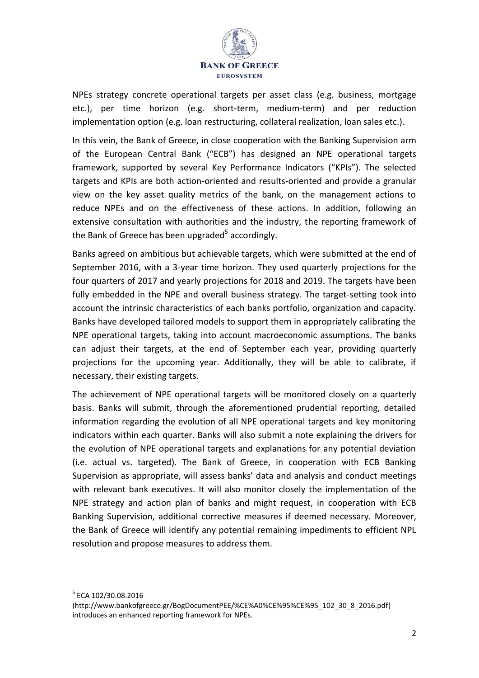

NPEs strategy concrete operational targets per asset class (e.g. business, mortgage etc.), per time horizon (e.g. short-term, medium-term) and per reduction implementation option (e.g. loan restructuring, collateral realization, loan sales etc.).

In this vein, the Bank of Greece, in close cooperation with the Banking Supervision arm of the European Central Bank ("ECB") has designed an NPE operational targets framework, supported by several Key Performance Indicators ("KPIs"). The selected targets and KPIs are both action-oriented and results-oriented and provide a granular view on the key asset quality metrics of the bank, on the management actions to reduce NPEs and on the effectiveness of these actions. In addition, following an extensive consultation with authorities and the industry, the reporting framework of the Bank of Greece has been upgraded<sup>5</sup> accordingly.

Banks agreed on ambitious but achievable targets, which were submitted at the end of September 2016, with a 3-year time horizon. They used quarterly projections for the four quarters of 2017 and yearly projections for 2018 and 2019. The targets have been fully embedded in the NPE and overall business strategy. The target-setting took into account the intrinsic characteristics of each banks portfolio, organization and capacity. Banks have developed tailored models to support them in appropriately calibrating the NPE operational targets, taking into account macroeconomic assumptions. The banks can adjust their targets, at the end of September each year, providing quarterly projections for the upcoming year. Additionally, they will be able to calibrate, if necessary, their existing targets.

The achievement of NPE operational targets will be monitored closely on a quarterly basis. Banks will submit, through the aforementioned prudential reporting, detailed information regarding the evolution of all NPE operational targets and key monitoring indicators within each quarter. Banks will also submit a note explaining the drivers for the evolution of NPE operational targets and explanations for any potential deviation (i.e. actual vs. targeted). The Bank of Greece, in cooperation with ECB Banking Supervision as appropriate, will assess banks' data and analysis and conduct meetings with relevant bank executives. It will also monitor closely the implementation of the NPE strategy and action plan of banks and might request, in cooperation with ECB Banking Supervision, additional corrective measures if deemed necessary. Moreover, the Bank of Greece will identify any potential remaining impediments to efficient NPL resolution and propose measures to address them.

-

<sup>5</sup> ECA 102/30.08.2016

<sup>(</sup>http://www.bankofgreece.gr/BogDocumentPEE/%CE%A0%CE%95%CE%95\_102\_30\_8\_2016.pdf) introduces an enhanced reporting framework for NPEs.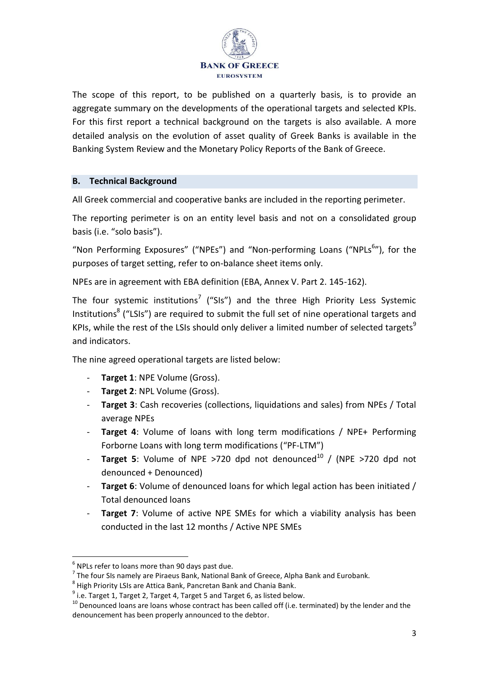

The scope of this report, to be published on a quarterly basis, is to provide an aggregate summary on the developments of the operational targets and selected KPIs. For this first report a technical background on the targets is also available. A more detailed analysis on the evolution of asset quality of Greek Banks is available in the Banking System Review and the Monetary Policy Reports of the Bank of Greece.

#### **B. Technical Background**

All Greek commercial and cooperative banks are included in the reporting perimeter.

The reporting perimeter is on an entity level basis and not on a consolidated group basis (i.e. "solo basis").

"Non Performing Exposures" ("NPEs") and "Non-performing Loans ("NPLs<sup>6</sup>"), for the purposes of target setting, refer to on-balance sheet items only.

NPEs are in agreement with EBA definition (EBA, Annex V. Part 2. 145-162).

The four systemic institutions<sup>7</sup> ("SIs") and the three High Priority Less Systemic Institutions<sup>8</sup> ("LSIs") are required to submit the full set of nine operational targets and KPIs, while the rest of the LSIs should only deliver a limited number of selected targets<sup>9</sup> and indicators.

The nine agreed operational targets are listed below:

- **Target 1: NPE Volume (Gross).**
- **Target 2: NPL Volume (Gross).**
- **Target 3**: Cash recoveries (collections, liquidations and sales) from NPEs / Total average NPEs
- **Target 4**: Volume of loans with long term modifications / NPE+ Performing Forborne Loans with long term modifications ("PF-LTM")
- **Target 5**: Volume of NPE >720 dpd not denounced<sup>10</sup> / (NPE >720 dpd not denounced + Denounced)
- Target 6: Volume of denounced loans for which legal action has been initiated / Total denounced loans
- **Target 7:** Volume of active NPE SMEs for which a viability analysis has been conducted in the last 12 months / Active NPE SMEs

<u>.</u>

 $<sup>6</sup>$  NPLs refer to loans more than 90 days past due.</sup>

 $<sup>7</sup>$  The four SIs namely are Piraeus Bank, National Bank of Greece, Alpha Bank and Eurobank.</sup>

 $^8$  High Priority LSIs are Attica Bank, Pancretan Bank and Chania Bank.

 $^9$  i.e. Target 1, Target 2, Target 4, Target 5 and Target 6, as listed below.

<sup>&</sup>lt;sup>10</sup> Denounced loans are loans whose contract has been called off (i.e. terminated) by the lender and the denouncement has been properly announced to the debtor.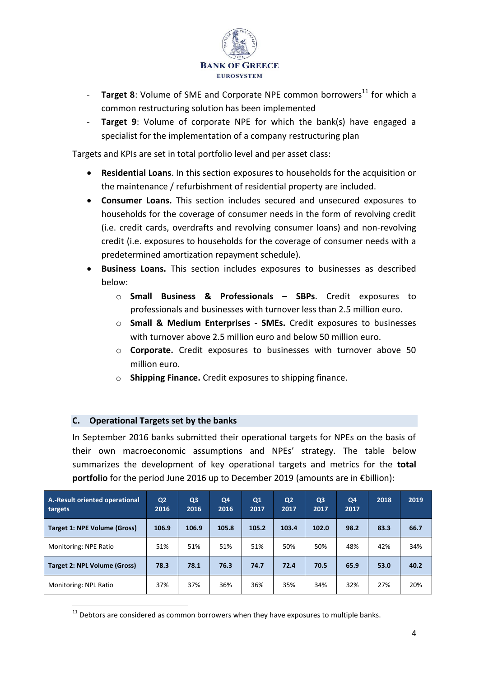

- **Target 8**: Volume of SME and Corporate NPE common borrowers<sup>11</sup> for which a common restructuring solution has been implemented
- **Target 9:** Volume of corporate NPE for which the bank(s) have engaged a specialist for the implementation of a company restructuring plan

Targets and KPIs are set in total portfolio level and per asset class:

- **Residential Loans**. In this section exposures to households for the acquisition or the maintenance / refurbishment of residential property are included.
- **Consumer Loans.** This section includes secured and unsecured exposures to households for the coverage of consumer needs in the form of revolving credit (i.e. credit cards, overdrafts and revolving consumer loans) and non-revolving credit (i.e. exposures to households for the coverage of consumer needs with a predetermined amortization repayment schedule).
- **Business Loans.** This section includes exposures to businesses as described below:
	- o **Small Business & Professionals – SBPs**. Credit exposures to professionals and businesses with turnover less than 2.5 million euro.
	- o **Small & Medium Enterprises SMEs.** Credit exposures to businesses with turnover above 2.5 million euro and below 50 million euro.
	- o **Corporate.** Credit exposures to businesses with turnover above 50 million euro.
	- o **Shipping Finance.** Credit exposures to shipping finance.

# **C. Operational Targets set by the banks**

In September 2016 banks submitted their operational targets for NPEs on the basis of their own macroeconomic assumptions and NPEs' strategy. The table below summarizes the development of key operational targets and metrics for the **total portfolio** for the period June 2016 up to December 2019 (amounts are in €billion):

| A.-Result oriented operational<br>targets | Q <sub>2</sub><br>2016 | Q <sub>3</sub><br>2016 | Q <sub>4</sub><br>2016 | Q1<br>2017 | Q <sub>2</sub><br>2017 | Q <sub>3</sub><br>2017 | Q4<br>2017 | 2018 | 2019 |
|-------------------------------------------|------------------------|------------------------|------------------------|------------|------------------------|------------------------|------------|------|------|
| Target 1: NPE Volume (Gross)              | 106.9                  | 106.9                  | 105.8                  | 105.2      | 103.4                  | 102.0                  | 98.2       | 83.3 | 66.7 |
| Monitoring: NPE Ratio                     | 51%                    | 51%                    | 51%                    | 51%        | 50%                    | 50%                    | 48%        | 42%  | 34%  |
| <b>Target 2: NPL Volume (Gross)</b>       | 78.3                   | 78.1                   | 76.3                   | 74.7       | 72.4                   | 70.5                   | 65.9       | 53.0 | 40.2 |
| Monitoring: NPL Ratio                     | 37%                    | 37%                    | 36%                    | 36%        | 35%                    | 34%                    | 32%        | 27%  | 20%  |

- $11$  Debtors are considered as common borrowers when they have exposures to multiple banks.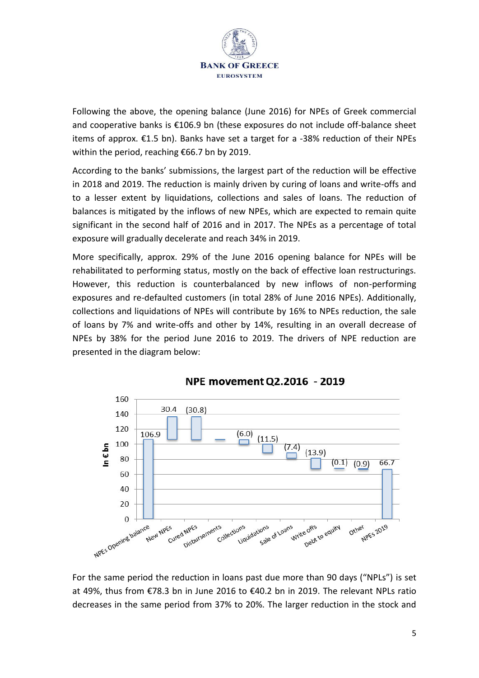

Following the above, the opening balance (June 2016) for NPEs of Greek commercial and cooperative banks is €106.9 bn (these exposures do not include off-balance sheet items of approx.  $E1.5$  bn). Banks have set a target for a -38% reduction of their NPEs within the period, reaching €66.7 bn by 2019.

According to the banks' submissions, the largest part of the reduction will be effective in 2018 and 2019. The reduction is mainly driven by curing of loans and write-offs and to a lesser extent by liquidations, collections and sales of loans. The reduction of balances is mitigated by the inflows of new NPEs, which are expected to remain quite significant in the second half of 2016 and in 2017. The NPEs as a percentage of total exposure will gradually decelerate and reach 34% in 2019.

More specifically, approx. 29% of the June 2016 opening balance for NPEs will be rehabilitated to performing status, mostly on the back of effective loan restructurings. However, this reduction is counterbalanced by new inflows of non-performing exposures and re-defaulted customers (in total 28% of June 2016 NPEs). Additionally, collections and liquidations of NPEs will contribute by 16% to NPEs reduction, the sale of loans by 7% and write-offs and other by 14%, resulting in an overall decrease of NPEs by 38% for the period June 2016 to 2019. The drivers of NPE reduction are presented in the diagram below:



# NPE movement Q2.2016 - 2019

For the same period the reduction in loans past due more than 90 days ("NPLs") is set at 49%, thus from €78.3 bn in June 2016 to €40.2 bn in 2019. The relevant NPLs ratio decreases in the same period from 37% to 20%. The larger reduction in the stock and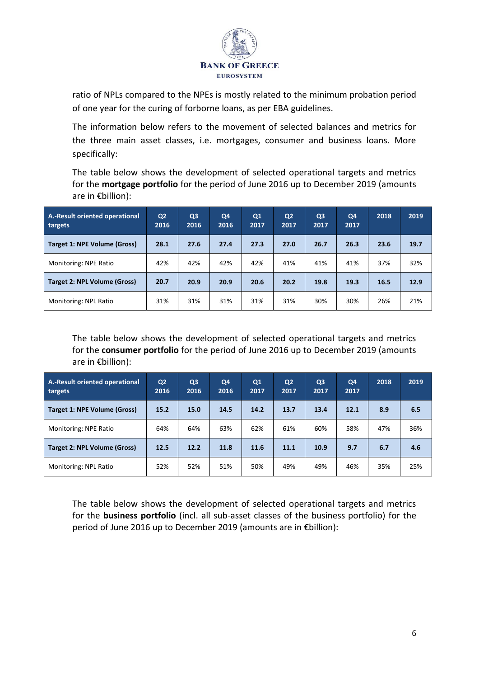

ratio of NPLs compared to the NPEs is mostly related to the minimum probation period of one year for the curing of forborne loans, as per EBA guidelines.

The information below refers to the movement of selected balances and metrics for the three main asset classes, i.e. mortgages, consumer and business loans. More specifically:

The table below shows the development of selected operational targets and metrics for the **mortgage portfolio** for the period of June 2016 up to December 2019 (amounts are in  $\epsilon$ billion):

| A.-Result oriented operational<br>targets | Q <sub>2</sub><br>2016 | Q <sub>3</sub><br>2016 | Q <sub>4</sub><br>2016 | Q1<br>2017 | Q <sub>2</sub><br>2017 | Q <sub>3</sub><br>2017 | Q <sub>4</sub><br>2017 | 2018 | 2019 |
|-------------------------------------------|------------------------|------------------------|------------------------|------------|------------------------|------------------------|------------------------|------|------|
| <b>Target 1: NPE Volume (Gross)</b>       | 28.1                   | 27.6                   | 27.4                   | 27.3       | 27.0                   | 26.7                   | 26.3                   | 23.6 | 19.7 |
| Monitoring: NPE Ratio                     | 42%                    | 42%                    | 42%                    | 42%        | 41%                    | 41%                    | 41%                    | 37%  | 32%  |
| <b>Target 2: NPL Volume (Gross)</b>       | 20.7                   | 20.9                   | 20.9                   | 20.6       | 20.2                   | 19.8                   | 19.3                   | 16.5 | 12.9 |
| Monitoring: NPL Ratio                     | 31%                    | 31%                    | 31%                    | 31%        | 31%                    | 30%                    | 30%                    | 26%  | 21%  |

The table below shows the development of selected operational targets and metrics for the **consumer portfolio** for the period of June 2016 up to December 2019 (amounts are in €billion):

| A.-Result oriented operational<br>targets | Q <sub>2</sub><br>2016 | Q <sub>3</sub><br>2016 | Q4<br>2016 | Q1<br>2017 | Q <sub>2</sub><br>2017 | Q <sub>3</sub><br>2017 | Q4<br>2017 | 2018 | 2019 |
|-------------------------------------------|------------------------|------------------------|------------|------------|------------------------|------------------------|------------|------|------|
| <b>Target 1: NPE Volume (Gross)</b>       | 15.2                   | 15.0                   | 14.5       | 14.2       | 13.7                   | 13.4                   | 12.1       | 8.9  | 6.5  |
| Monitoring: NPE Ratio                     | 64%                    | 64%                    | 63%        | 62%        | 61%                    | 60%                    | 58%        | 47%  | 36%  |
| <b>Target 2: NPL Volume (Gross)</b>       | 12.5                   | 12.2                   | 11.8       | 11.6       | 11.1                   | 10.9                   | 9.7        | 6.7  | 4.6  |
| Monitoring: NPL Ratio                     | 52%                    | 52%                    | 51%        | 50%        | 49%                    | 49%                    | 46%        | 35%  | 25%  |

The table below shows the development of selected operational targets and metrics for the **business portfolio** (incl. all sub-asset classes of the business portfolio) for the period of June 2016 up to December 2019 (amounts are in €billion):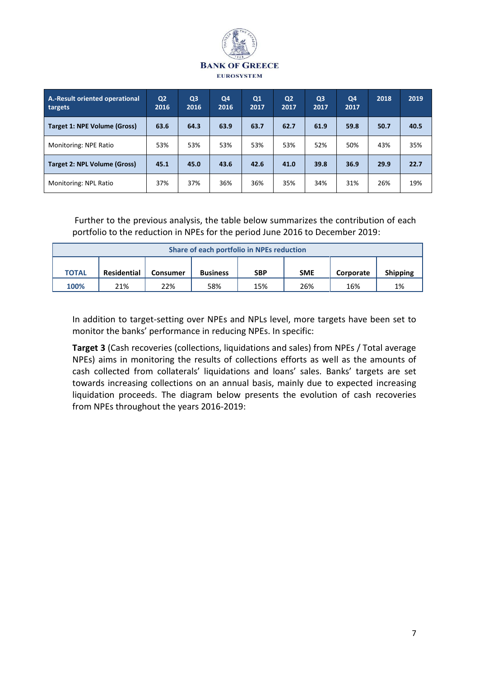

| <b>A.-Result oriented operational</b><br>targets | Q <sub>2</sub><br>2016 | Q <sub>3</sub><br>2016 | Q <sub>4</sub><br>2016 | Q1<br>2017 | Q <sub>2</sub><br>2017 | Q <sub>3</sub><br>2017 | Q4<br>2017 | 2018 | 2019 |
|--------------------------------------------------|------------------------|------------------------|------------------------|------------|------------------------|------------------------|------------|------|------|
| <b>Target 1: NPE Volume (Gross)</b>              | 63.6                   | 64.3                   | 63.9                   | 63.7       | 62.7                   | 61.9                   | 59.8       | 50.7 | 40.5 |
| Monitoring: NPE Ratio                            | 53%                    | 53%                    | 53%                    | 53%        | 53%                    | 52%                    | 50%        | 43%  | 35%  |
| <b>Target 2: NPL Volume (Gross)</b>              | 45.1                   | 45.0                   | 43.6                   | 42.6       | 41.0                   | 39.8                   | 36.9       | 29.9 | 22.7 |
| Monitoring: NPL Ratio                            | 37%                    | 37%                    | 36%                    | 36%        | 35%                    | 34%                    | 31%        | 26%  | 19%  |

 Further to the previous analysis, the table below summarizes the contribution of each portfolio to the reduction in NPEs for the period June 2016 to December 2019:

| Share of each portfolio in NPEs reduction |                    |                 |                 |            |            |           |                 |  |  |  |  |
|-------------------------------------------|--------------------|-----------------|-----------------|------------|------------|-----------|-----------------|--|--|--|--|
| <b>TOTAL</b>                              | <b>Residential</b> | <b>Consumer</b> | <b>Business</b> | <b>SBP</b> | <b>SME</b> | Corporate | <b>Shipping</b> |  |  |  |  |
| 100%                                      | 21%                | 22%             | 58%             | 15%        | 26%        | 16%       | 1%              |  |  |  |  |

In addition to target-setting over NPEs and NPLs level, more targets have been set to monitor the banks' performance in reducing NPEs. In specific:

**Target 3** (Cash recoveries (collections, liquidations and sales) from NPEs / Total average NPEs) aims in monitoring the results of collections efforts as well as the amounts of cash collected from collaterals' liquidations and loans' sales. Banks' targets are set towards increasing collections on an annual basis, mainly due to expected increasing liquidation proceeds. The diagram below presents the evolution of cash recoveries from NPEs throughout the years 2016-2019: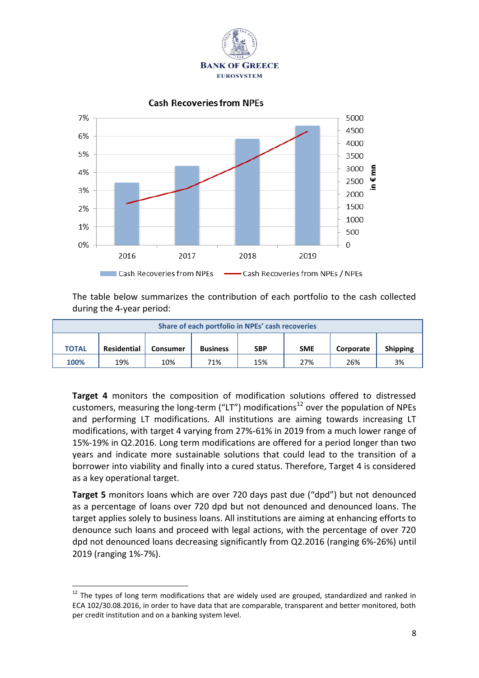





The table below summarizes the contribution of each portfolio to the cash collected during the 4-year period:

| Share of each portfolio in NPEs' cash recoveries |                    |          |                 |            |            |           |                 |  |  |  |  |
|--------------------------------------------------|--------------------|----------|-----------------|------------|------------|-----------|-----------------|--|--|--|--|
| <b>TOTAL</b>                                     | <b>Residential</b> | Consumer | <b>Business</b> | <b>SBP</b> | <b>SME</b> | Corporate | <b>Shipping</b> |  |  |  |  |
| 100%                                             | 19%                | 10%      | 71%             | 15%        | 27%        | 26%       | 3%              |  |  |  |  |

**Target 4** monitors the composition of modification solutions offered to distressed customers, measuring the long-term ("LT") modifications<sup>12</sup> over the population of NPEs and performing LT modifications. All institutions are aiming towards increasing LT modifications, with target 4 varying from 27%-61% in 2019 from a much lower range of 15%-19% in Q2.2016. Long term modifications are offered for a period longer than two years and indicate more sustainable solutions that could lead to the transition of a borrower into viability and finally into a cured status. Therefore, Target 4 is considered as a key operational target.

**Target 5** monitors loans which are over 720 days past due ("dpd") but not denounced as a percentage of loans over 720 dpd but not denounced and denounced loans. The target applies solely to business loans. All institutions are aiming at enhancing efforts to denounce such loans and proceed with legal actions, with the percentage of over 720 dpd not denounced loans decreasing significantly from Q2.2016 (ranging 6%-26%) until 2019 (ranging 1%-7%).

-

 $12$  The types of long term modifications that are widely used are grouped, standardized and ranked in ECA 102/30.08.2016, in order to have data that are comparable, transparent and better monitored, both per credit institution and on a banking system level.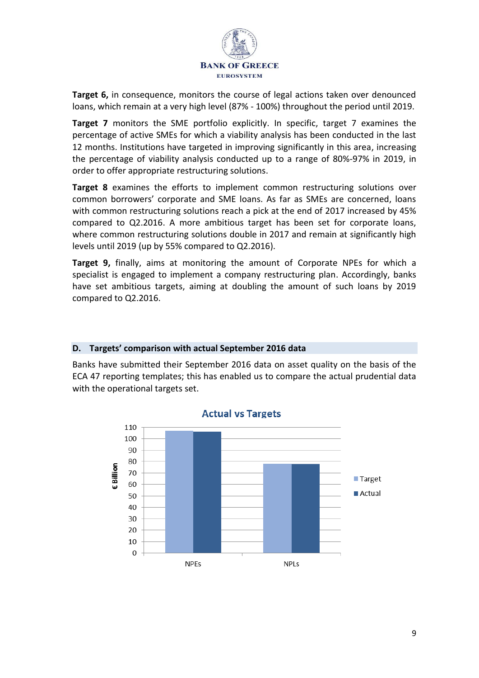

**Target 6,** in consequence, monitors the course of legal actions taken over denounced loans, which remain at a very high level (87% - 100%) throughout the period until 2019.

**Target 7** monitors the SME portfolio explicitly. In specific, target 7 examines the percentage of active SMEs for which a viability analysis has been conducted in the last 12 months. Institutions have targeted in improving significantly in this area, increasing the percentage of viability analysis conducted up to a range of 80%-97% in 2019, in order to offer appropriate restructuring solutions.

**Target 8** examines the efforts to implement common restructuring solutions over common borrowers' corporate and SME loans. As far as SMEs are concerned, loans with common restructuring solutions reach a pick at the end of 2017 increased by 45% compared to Q2.2016. A more ambitious target has been set for corporate loans, where common restructuring solutions double in 2017 and remain at significantly high levels until 2019 (up by 55% compared to Q2.2016).

**Target 9,** finally, aims at monitoring the amount of Corporate NPEs for which a specialist is engaged to implement a company restructuring plan. Accordingly, banks have set ambitious targets, aiming at doubling the amount of such loans by 2019 compared to Q2.2016.

# **D. Targets' comparison with actual September 2016 data**

Banks have submitted their September 2016 data on asset quality on the basis of the ECA 47 reporting templates; this has enabled us to compare the actual prudential data with the operational targets set.